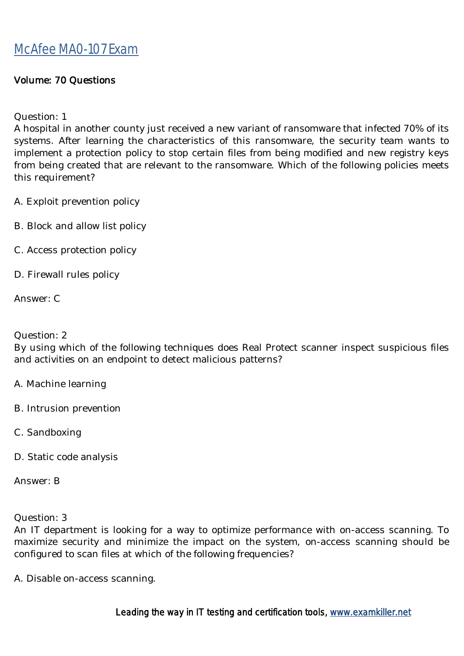#### Volume: 70 Questions

Question: 1

A hospital in another county just received a new variant of ransomware that infected 70% of its systems. After learning the characteristics of this ransomware, the security team wants to implement a protection policy to stop certain files from being modified and new registry keys from being created that are relevant to the ransomware. Which of the following policies meets this requirement?

A. Exploit prevention policy

- B. Block and allow list policy
- C. Access protection policy
- D. Firewall rules policy

Answer: C

#### Question: 2

By using which of the following techniques does Real Protect scanner inspect suspicious files and activities on an endpoint to detect malicious patterns?

- A. Machine learning
- B. Intrusion prevention
- C. Sandboxing
- D. Static code analysis

Answer: B

Question: 3

An IT department is looking for a way to optimize performance with on-access scanning. To maximize security and minimize the impact on the system, on-access scanning should be configured to scan files at which of the following frequencies?

A. Disable on-access scanning.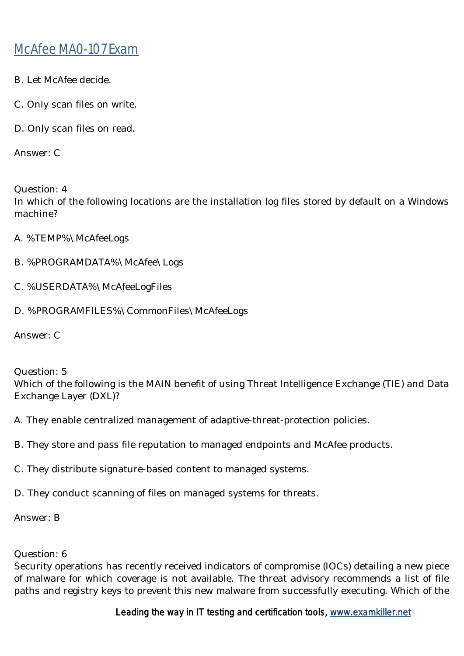- B. Let McAfee decide.
- C. Only scan files on write.
- D. Only scan files on read.

Answer: C

Question: 4 In which of the following locations are the installation log files stored by default on a Windows machine?

- A. %TEMP%\McAfeeLogs
- B. %PROGRAMDATA%\McAfee\Logs
- C. %USERDATA%\McAfeeLogFiles
- D. %PROGRAMFILES%\CommonFiles\McAfeeLogs

Answer: C

Question: 5

Which of the following is the MAIN benefit of using Threat Intelligence Exchange (TIE) and Data Exchange Layer (DXL)?

- A. They enable centralized management of adaptive-threat-protection policies.
- B. They store and pass file reputation to managed endpoints and McAfee products.
- C. They distribute signature-based content to managed systems.
- D. They conduct scanning of files on managed systems for threats.

Answer: B

Question: 6

Security operations has recently received indicators of compromise (IOCs) detailing a new piece of malware for which coverage is not available. The threat advisory recommends a list of file paths and registry keys to prevent this new malware from successfully executing. Which of the

Leading the way in IT testing and certification tools, www.examkiller.net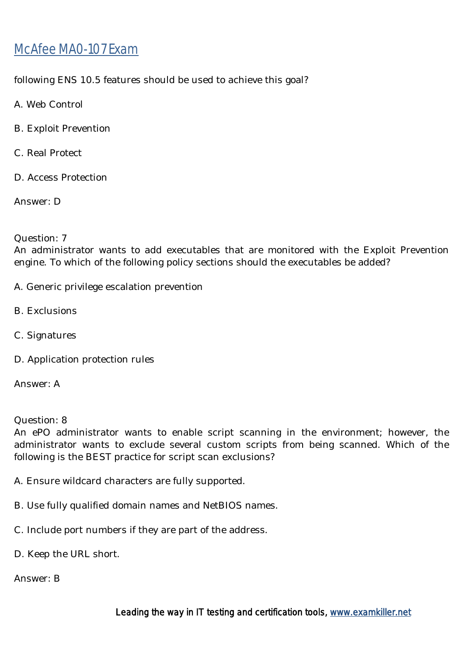following ENS 10.5 features should be used to achieve this goal?

- A. Web Control
- B. Exploit Prevention
- C. Real Protect
- D. Access Protection

Answer: D

#### Question: 7

An administrator wants to add executables that are monitored with the Exploit Prevention engine. To which of the following policy sections should the executables be added?

- A. Generic privilege escalation prevention
- B. Exclusions
- C. Signatures
- D. Application protection rules

Answer: A

Question: 8

An ePO administrator wants to enable script scanning in the environment; however, the administrator wants to exclude several custom scripts from being scanned. Which of the following is the BEST practice for script scan exclusions?

A. Ensure wildcard characters are fully supported.

- B. Use fully qualified domain names and NetBIOS names.
- C. Include port numbers if they are part of the address.
- D. Keep the URL short.

Answer: B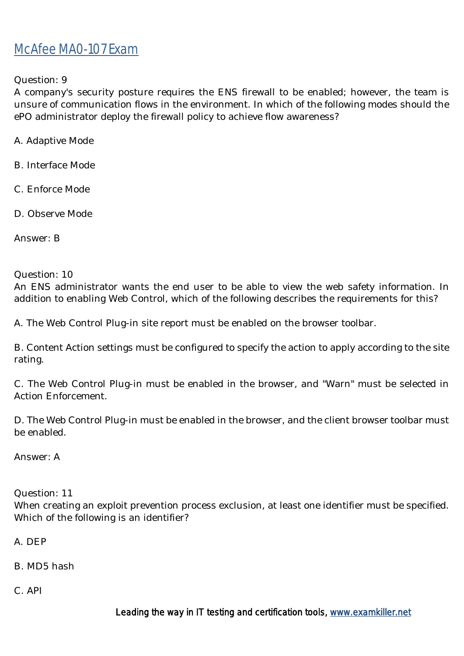Question: 9

A company's security posture requires the ENS firewall to be enabled; however, the team is unsure of communication flows in the environment. In which of the following modes should the ePO administrator deploy the firewall policy to achieve flow awareness?

A. Adaptive Mode

B. Interface Mode

C. Enforce Mode

D. Observe Mode

Answer: B

Question: 10

An ENS administrator wants the end user to be able to view the web safety information. In addition to enabling Web Control, which of the following describes the requirements for this?

A. The Web Control Plug-in site report must be enabled on the browser toolbar.

B. Content Action settings must be configured to specify the action to apply according to the site rating.

C. The Web Control Plug-in must be enabled in the browser, and "Warn" must be selected in Action Enforcement.

D. The Web Control Plug-in must be enabled in the browser, and the client browser toolbar must be enabled.

Answer: A

Question: 11

When creating an exploit prevention process exclusion, at least one identifier must be specified. Which of the following is an identifier?

A. DEP

B. MD5 hash

C. API

Leading the way in IT testing and certification tools, www.examkiller.net